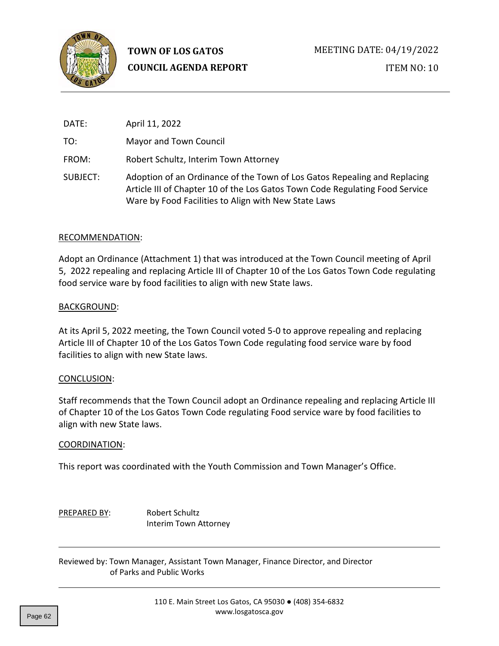

ITEM NO: 10

| DATE:    | April 11, 2022                                                                                                                                                                                                    |
|----------|-------------------------------------------------------------------------------------------------------------------------------------------------------------------------------------------------------------------|
| TO:      | Mayor and Town Council                                                                                                                                                                                            |
| FROM:    | Robert Schultz, Interim Town Attorney                                                                                                                                                                             |
| SUBJECT: | Adoption of an Ordinance of the Town of Los Gatos Repealing and Replacing<br>Article III of Chapter 10 of the Los Gatos Town Code Regulating Food Service<br>Ware by Food Facilities to Align with New State Laws |

#### RECOMMENDATION:

Adopt an Ordinance (Attachment 1) that was introduced at the Town Council meeting of April 5, 2022 repealing and replacing Article III of Chapter 10 of the Los Gatos Town Code regulating food service ware by food facilities to align with new State laws.

#### BACKGROUND:

At its April 5, 2022 meeting, the Town Council voted 5-0 to approve repealing and replacing Article III of Chapter 10 of the Los Gatos Town Code regulating food service ware by food facilities to align with new State laws.

#### CONCLUSION:

Staff recommends that the Town Council adopt an Ordinance repealing and replacing Article III of Chapter 10 of the Los Gatos Town Code regulating Food service ware by food facilities to align with new State laws.

#### COORDINATION:

This report was coordinated with the Youth Commission and Town Manager's Office.

#### PREPARED BY: Robert Schultz Interim Town Attorney

Reviewed by: Town Manager, Assistant Town Manager, Finance Director, and Director of Parks and Public Works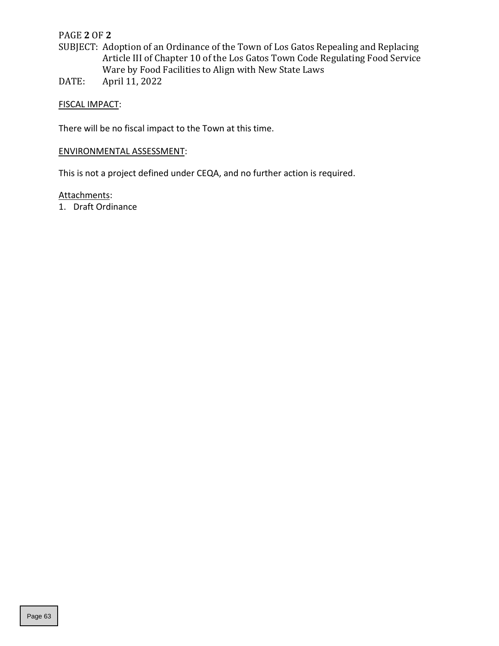## PAGE **2** OF **2**

- SUBJECT: Adoption of an Ordinance of the Town of Los Gatos Repealing and Replacing Article III of Chapter 10 of the Los Gatos Town Code Regulating Food Service Ware by Food Facilities to Align with New State Laws
- DATE: April 11, 2022

## FISCAL IMPACT:

There will be no fiscal impact to the Town at this time.

# ENVIRONMENTAL ASSESSMENT:

This is not a project defined under CEQA, and no further action is required.

# Attachments:

1. Draft Ordinance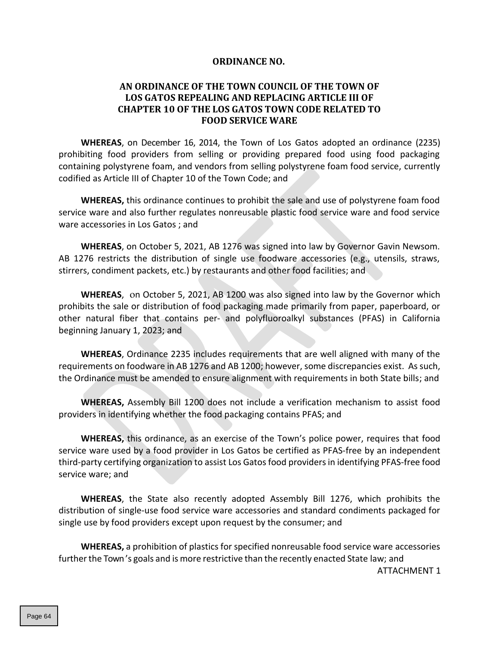#### **ORDINANCE NO.**

## **AN ORDINANCE OF THE TOWN COUNCIL OF THE TOWN OF LOS GATOS REPEALING AND REPLACING ARTICLE III OF CHAPTER 10 OF THE LOS GATOS TOWN CODE RELATED TO FOOD SERVICE WARE**

**WHEREAS**, on December 16, 2014, the Town of Los Gatos adopted an ordinance (2235) prohibiting food providers from selling or providing prepared food using food packaging containing polystyrene foam, and vendors from selling polystyrene foam food service, currently codified as Article III of Chapter 10 of the Town Code; and

**WHEREAS,** this ordinance continues to prohibit the sale and use of polystyrene foam food service ware and also further regulates nonreusable plastic food service ware and food service ware accessories in Los Gatos ; and

**WHEREAS**, on October 5, 2021, AB 1276 was signed into law by Governor Gavin Newsom. AB 1276 restricts the distribution of single use foodware accessories (e.g., utensils, straws, stirrers, condiment packets, etc.) by restaurants and other food facilities; and

**WHEREAS**, on October 5, 2021, AB 1200 was also signed into law by the Governor which prohibits the sale or distribution of food packaging made primarily from paper, paperboard, or other natural fiber that contains per- and polyfluoroalkyl substances (PFAS) in California beginning January 1, 2023; and

**WHEREAS**, Ordinance 2235 includes requirements that are well aligned with many of the requirements on foodware in AB 1276 and AB 1200; however, some discrepancies exist. As such, the Ordinance must be amended to ensure alignment with requirements in both State bills; and

**WHEREAS,** Assembly Bill 1200 does not include a verification mechanism to assist food providers in identifying whether the food packaging contains PFAS; and

**WHEREAS,** this ordinance, as an exercise of the Town's police power, requires that food service ware used by a food provider in Los Gatos be certified as PFAS-free by an independent third-party certifying organization to assist Los Gatos food providersin identifying PFAS-free food service ware; and

**WHEREAS**, the State also recently adopted Assembly Bill 1276, which prohibits the distribution of single-use food service ware accessories and standard condiments packaged for single use by food providers except upon request by the consumer; and

**WHEREAS,** a prohibition of plastics for specified nonreusable food service ware accessories further the Town's goals and is more restrictive than the recently enacted State law; and

ATTACHMENT 1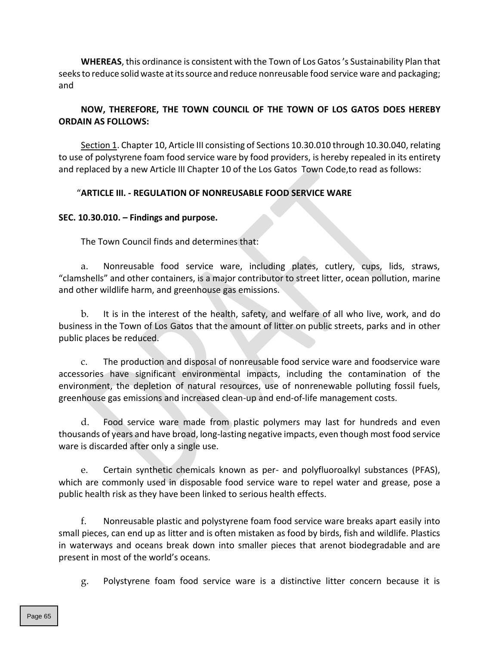**WHEREAS**, this ordinance is consistent with the Town of Los Gatos 's Sustainability Plan that seeksto reduce solidwaste atitssource and reduce nonreusable food service ware and packaging; and

# **NOW, THEREFORE, THE TOWN COUNCIL OF THE TOWN OF LOS GATOS DOES HEREBY ORDAIN AS FOLLOWS:**

Section 1. Chapter 10, Article III consisting of Sections 10.30.010 through 10.30.040, relating to use of polystyrene foam food service ware by food providers, is hereby repealed in its entirety and replaced by a new Article III Chapter 10 of the Los Gatos Town Code,to read as follows:

## "**ARTICLE III. - REGULATION OF NONREUSABLE FOOD SERVICE WARE**

## **SEC. 10.30.010. – Findings and purpose.**

The Town Council finds and determines that:

a. Nonreusable food service ware, including plates, cutlery, cups, lids, straws, "clamshells" and other containers, is a major contributor to street litter, ocean pollution, marine and other wildlife harm, and greenhouse gas emissions.

b. It is in the interest of the health, safety, and welfare of all who live, work, and do business in the Town of Los Gatos that the amount of litter on public streets, parks and in other public places be reduced.

c. The production and disposal of nonreusable food service ware and foodservice ware accessories have significant environmental impacts, including the contamination of the environment, the depletion of natural resources, use of nonrenewable polluting fossil fuels, greenhouse gas emissions and increased clean-up and end-of-life management costs.

d. Food service ware made from plastic polymers may last for hundreds and even thousands of years and have broad, long-lasting negative impacts, even though most food service ware is discarded after only a single use.

e. Certain synthetic chemicals known as per- and polyfluoroalkyl substances (PFAS), which are commonly used in disposable food service ware to repel water and grease, pose a public health risk as they have been linked to serious health effects.

f. Nonreusable plastic and polystyrene foam food service ware breaks apart easily into small pieces, can end up as litter and is often mistaken as food by birds, fish and wildlife. Plastics in waterways and oceans break down into smaller pieces that arenot biodegradable and are present in most of the world's oceans.

g. Polystyrene foam food service ware is a distinctive litter concern because it is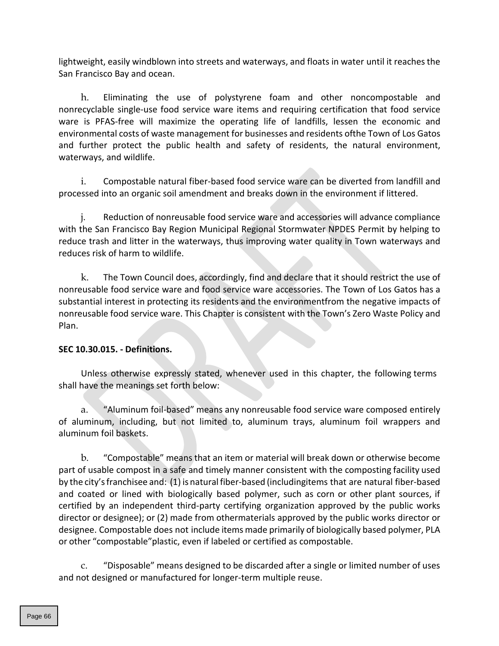lightweight, easily windblown into streets and waterways, and floats in water until it reaches the San Francisco Bay and ocean.

h. Eliminating the use of polystyrene foam and other noncompostable and nonrecyclable single-use food service ware items and requiring certification that food service ware is PFAS-free will maximize the operating life of landfills, lessen the economic and environmental costs of waste management for businesses and residents ofthe Town of Los Gatos and further protect the public health and safety of residents, the natural environment, waterways, and wildlife.

i. Compostable natural fiber-based food service ware can be diverted from landfill and processed into an organic soil amendment and breaks down in the environment if littered.

j. Reduction of nonreusable food service ware and accessories will advance compliance with the San Francisco Bay Region Municipal Regional Stormwater NPDES Permit by helping to reduce trash and litter in the waterways, thus improving water quality in Town waterways and reduces risk of harm to wildlife.

k. The Town Council does, accordingly, find and declare that it should restrict the use of nonreusable food service ware and food service ware accessories. The Town of Los Gatos has a substantial interest in protecting its residents and the environmentfrom the negative impacts of nonreusable food service ware. This Chapter is consistent with the Town's Zero Waste Policy and Plan.

## **SEC 10.30.015. - Definitions.**

Unless otherwise expressly stated, whenever used in this chapter, the following terms shall have the meanings set forth below:

a. "Aluminum foil-based" means any nonreusable food service ware composed entirely of aluminum, including, but not limited to, aluminum trays, aluminum foil wrappers and aluminum foil baskets.

b. "Compostable" means that an item or material will break down or otherwise become part of usable compost in a safe and timely manner consistent with the composting facility used by the city'sfranchisee and: (1) is natural fiber-based (includingitems that are natural fiber-based and coated or lined with biologically based polymer, such as corn or other plant sources, if certified by an independent third-party certifying organization approved by the public works director or designee); or (2) made from othermaterials approved by the public works director or designee. Compostable does not include items made primarily of biologically based polymer, PLA or other "compostable"plastic, even if labeled or certified as compostable.

c. "Disposable" means designed to be discarded after a single or limited number of uses and not designed or manufactured for longer-term multiple reuse.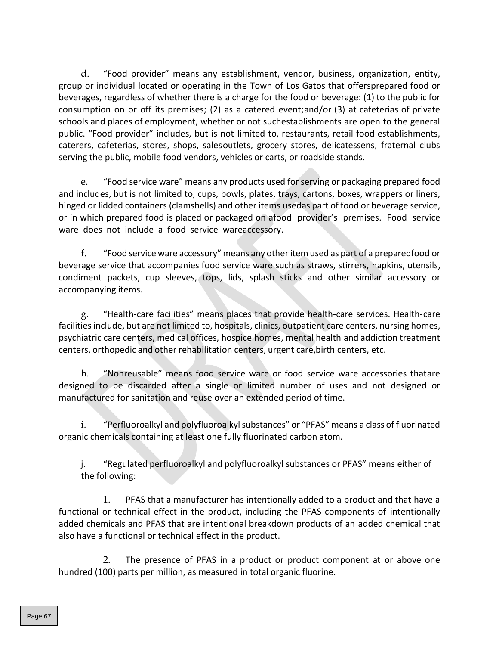d. "Food provider" means any establishment, vendor, business, organization, entity, group or individual located or operating in the Town of Los Gatos that offersprepared food or beverages, regardless of whether there is a charge for the food or beverage: (1) to the public for consumption on or off its premises; (2) as a catered event;and/or (3) at cafeterias of private schools and places of employment, whether or not suchestablishments are open to the general public. "Food provider" includes, but is not limited to, restaurants, retail food establishments, caterers, cafeterias, stores, shops, salesoutlets, grocery stores, delicatessens, fraternal clubs serving the public, mobile food vendors, vehicles or carts, or roadside stands.

e. "Food service ware" means any products used forserving or packaging prepared food and includes, but is not limited to, cups, bowls, plates, trays, cartons, boxes, wrappers or liners, hinged or lidded containers (clamshells) and other items usedas part of food or beverage service, or in which prepared food is placed or packaged on afood provider's premises. Food service ware does not include a food service wareaccessory.

f. "Food service ware accessory" means any otheritem used as part of a preparedfood or beverage service that accompanies food service ware such as straws, stirrers, napkins, utensils, condiment packets, cup sleeves, tops, lids, splash sticks and other similar accessory or accompanying items.

g. "Health-care facilities" means places that provide health-care services. Health-care facilities include, but are not limited to, hospitals, clinics, outpatient care centers, nursing homes, psychiatric care centers, medical offices, hospice homes, mental health and addiction treatment centers, orthopedic and other rehabilitation centers, urgent care,birth centers, etc.

h. "Nonreusable" means food service ware or food service ware accessories thatare designed to be discarded after a single or limited number of uses and not designed or manufactured for sanitation and reuse over an extended period of time.

i. "Perfluoroalkyl and polyfluoroalkyl substances" or "PFAS" means a class of fluorinated organic chemicals containing at least one fully fluorinated carbon atom.

j. "Regulated perfluoroalkyl and polyfluoroalkyl substances or PFAS" means either of the following:

1. PFAS that a manufacturer has intentionally added to a product and that have a functional or technical effect in the product, including the PFAS components of intentionally added chemicals and PFAS that are intentional breakdown products of an added chemical that also have a functional or technical effect in the product.

2. The presence of PFAS in a product or product component at or above one hundred (100) parts per million, as measured in total organic fluorine.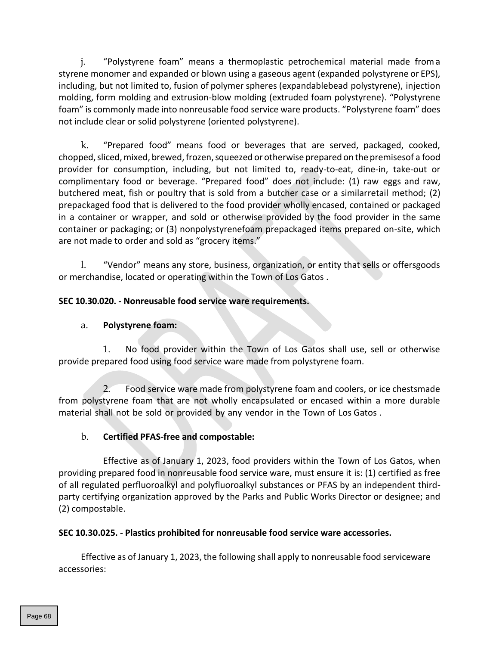j. "Polystyrene foam" means a thermoplastic petrochemical material made froma styrene monomer and expanded or blown using a gaseous agent (expanded polystyrene or EPS), including, but not limited to, fusion of polymer spheres (expandablebead polystyrene), injection molding, form molding and extrusion-blow molding (extruded foam polystyrene). "Polystyrene foam" is commonly made into nonreusable food service ware products. "Polystyrene foam" does not include clear or solid polystyrene (oriented polystyrene).

k. "Prepared food" means food or beverages that are served, packaged, cooked, chopped, sliced, mixed, brewed, frozen, squeezed or otherwise prepared on the premisesof a food provider for consumption, including, but not limited to, ready-to-eat, dine-in, take-out or complimentary food or beverage. "Prepared food" does not include: (1) raw eggs and raw, butchered meat, fish or poultry that is sold from a butcher case or a similarretail method; (2) prepackaged food that is delivered to the food provider wholly encased, contained or packaged in a container or wrapper, and sold or otherwise provided by the food provider in the same container or packaging; or (3) nonpolystyrenefoam prepackaged items prepared on-site, which are not made to order and sold as "grocery items."

l. "Vendor" means any store, business, organization, or entity that sells or offersgoods or merchandise, located or operating within the Town of Los Gatos .

# **SEC 10.30.020. - Nonreusable food service ware requirements.**

# a. **Polystyrene foam:**

1. No food provider within the Town of Los Gatos shall use, sell or otherwise provide prepared food using food service ware made from polystyrene foam.

2. Food service ware made from polystyrene foam and coolers, or ice chestsmade from polystyrene foam that are not wholly encapsulated or encased within a more durable material shall not be sold or provided by any vendor in the Town of Los Gatos .

# b. **Certified PFAS-free and compostable:**

Effective as of January 1, 2023, food providers within the Town of Los Gatos, when providing prepared food in nonreusable food service ware, must ensure it is: (1) certified as free of all regulated perfluoroalkyl and polyfluoroalkyl substances or PFAS by an independent thirdparty certifying organization approved by the Parks and Public Works Director or designee; and (2) compostable.

## **SEC 10.30.025. - Plastics prohibited for nonreusable food service ware accessories.**

Effective as of January 1, 2023, the following shall apply to nonreusable food serviceware accessories: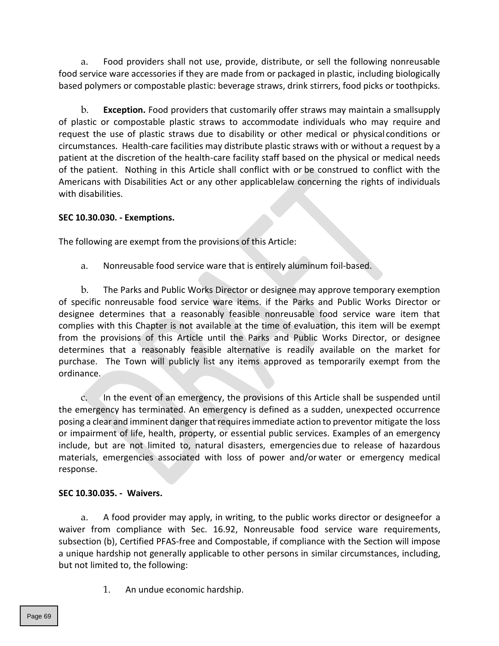a. Food providers shall not use, provide, distribute, or sell the following nonreusable food service ware accessories if they are made from or packaged in plastic, including biologically based polymers or compostable plastic: beverage straws, drink stirrers, food picks or toothpicks.

b. **Exception.** Food providers that customarily offer straws may maintain a small supply of plastic or compostable plastic straws to accommodate individuals who may require and request the use of plastic straws due to disability or other medical or physical conditions or circumstances. Health-care facilities may distribute plastic straws with or without a request by a patient at the discretion of the health-care facility staff based on the physical or medical needs of the patient. Nothing in this Article shall conflict with or be construed to conflict with the Americans with Disabilities Act or any other applicablelaw concerning the rights of individuals with disabilities.

## **SEC 10.30.030. - Exemptions.**

The following are exempt from the provisions of this Article:

a. Nonreusable food service ware that is entirely aluminum foil-based.

b. The Parks and Public Works Director or designee may approve temporary exemption of specific nonreusable food service ware items. if the Parks and Public Works Director or designee determines that a reasonably feasible nonreusable food service ware item that complies with this Chapter is not available at the time of evaluation, this item will be exempt from the provisions of this Article until the Parks and Public Works Director, or designee determines that a reasonably feasible alternative is readily available on the market for purchase. The Town will publicly list any items approved as temporarily exempt from the ordinance.

c. In the event of an emergency, the provisions of this Article shall be suspended until the emergency has terminated. An emergency is defined as a sudden, unexpected occurrence posing a clear and imminent danger that requires immediate action to preventor mitigate the loss or impairment of life, health, property, or essential public services. Examples of an emergency include, but are not limited to, natural disasters, emergencies due to release of hazardous materials, emergencies associated with loss of power and/or water or emergency medical response.

# **SEC 10.30.035. - Waivers.**

a. A food provider may apply, in writing, to the public works director or designeefor a waiver from compliance with Sec. 16.92, Nonreusable food service ware requirements, subsection (b), Certified PFAS-free and Compostable, if compliance with the Section will impose a unique hardship not generally applicable to other persons in similar circumstances, including, but not limited to, the following:

1. An undue economic hardship.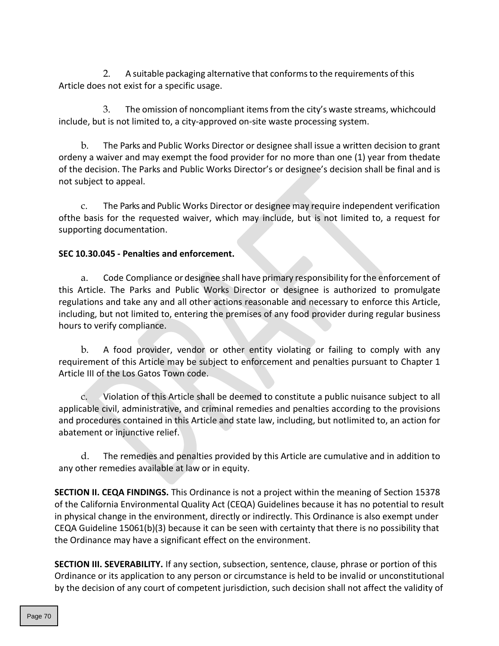2. A suitable packaging alternative that conformsto the requirements ofthis Article does not exist for a specific usage.

3. The omission of noncompliant itemsfrom the city's waste streams, whichcould include, but is not limited to, a city-approved on-site waste processing system.

b. The Parks and Public Works Director or designee shall issue a written decision to grant ordeny a waiver and may exempt the food provider for no more than one (1) year from thedate of the decision. The Parks and Public Works Director's or designee's decision shall be final and is not subject to appeal.

c. The Parks and Public Works Director or designee may require independent verification ofthe basis for the requested waiver, which may include, but is not limited to, a request for supporting documentation.

# **SEC 10.30.045 - Penalties and enforcement.**

a. Code Compliance or designee shall have primary responsibility forthe enforcement of this Article. The Parks and Public Works Director or designee is authorized to promulgate regulations and take any and all other actions reasonable and necessary to enforce this Article, including, but not limited to, entering the premises of any food provider during regular business hours to verify compliance.

b. A food provider, vendor or other entity violating or failing to comply with any requirement of this Article may be subject to enforcement and penalties pursuant to Chapter 1 Article III of the Los Gatos Town code.

c. Violation of this Article shall be deemed to constitute a public nuisance subject to all applicable civil, administrative, and criminal remedies and penalties according to the provisions and procedures contained in this Article and state law, including, but notlimited to, an action for abatement or injunctive relief.

d. The remedies and penalties provided by this Article are cumulative and in addition to any other remedies available at law or in equity.

**SECTION II. CEQA FINDINGS.** This Ordinance is not a project within the meaning of Section 15378 of the California Environmental Quality Act (CEQA) Guidelines because it has no potential to result in physical change in the environment, directly or indirectly. This Ordinance is also exempt under CEQA Guideline 15061(b)(3) because it can be seen with certainty that there is no possibility that the Ordinance may have a significant effect on the environment.

**SECTION III. SEVERABILITY.** If any section, subsection, sentence, clause, phrase or portion of this Ordinance or its application to any person or circumstance is held to be invalid or unconstitutional by the decision of any court of competent jurisdiction, such decision shall not affect the validity of